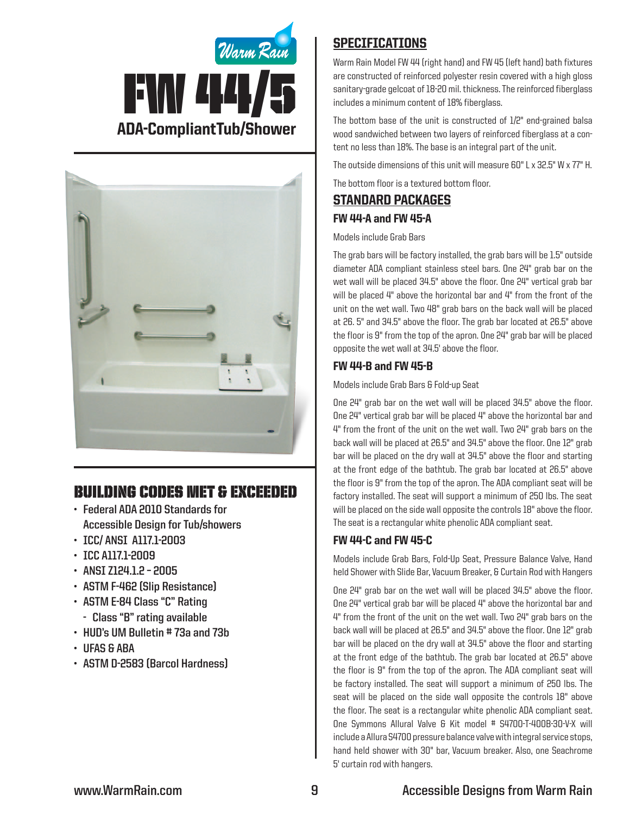



# Building Codes Met & EXCEEDED

- **• Federal ADA 2010 Standards for Accessible Design for Tub/showers**
- **• ICC/ ANSI A117.1-2003**
- **• ICC A117.1-2009**
- **• ANSI Z124.1.2 – 2005**
- **• ASTM F-462 (Slip Resistance)**
- **• ASTM E-84 Class "C" Rating - Class "B" rating available**
- **• HUD's UM Bulletin # 73a and 73b**
- **• UFAS & ABA**
- **• ASTM D-2583 (Barcol Hardness)**

## **SPECIFICATIONS**

Warm Rain Model FW 44 (right hand) and FW 45 (left hand) bath fixtures are constructed of reinforced polyester resin covered with a high gloss sanitary-grade gelcoat of 18-20 mil. thickness. The reinforced fiberglass includes a minimum content of 18% fiberglass.

The bottom base of the unit is constructed of 1/2" end-grained balsa wood sandwiched between two layers of reinforced fiberglass at a content no less than 18%. The base is an integral part of the unit.

The outside dimensions of this unit will measure 60" L x 32.5" W x 77" H.

The bottom floor is a textured bottom floor.

### Standard packages FW 44-A and FW 45-A

Models include Grab Bars

The grab bars will be factory installed, the grab bars will be 1.5" outside diameter ADA compliant stainless steel bars. One 24" grab bar on the wet wall will be placed 34.5" above the floor. One 24" vertical grab bar will be placed 4" above the horizontal bar and 4" from the front of the unit on the wet wall. Two 48" grab bars on the back wall will be placed at 26. 5" and 34.5" above the floor. The grab bar located at 26.5" above the floor is 9" from the top of the apron. One 24" grab bar will be placed opposite the wet wall at 34.5' above the floor.

#### FW 44-B and FW 45-B

Models include Grab Bars & Fold-up Seat

One 24" grab bar on the wet wall will be placed 34.5" above the floor. One 24" vertical grab bar will be placed 4" above the horizontal bar and 4" from the front of the unit on the wet wall. Two 24" grab bars on the back wall will be placed at 26.5" and 34.5" above the floor. One 12" grab bar will be placed on the dry wall at 34.5" above the floor and starting at the front edge of the bathtub. The grab bar located at 26.5" above the floor is 9" from the top of the apron. The ADA compliant seat will be factory installed. The seat will support a minimum of 250 lbs. The seat will be placed on the side wall opposite the controls 18" above the floor. The seat is a rectangular white phenolic ADA compliant seat.

#### FW 44-C and FW 45-C

Models include Grab Bars, Fold-Up Seat, Pressure Balance Valve, Hand held Shower with Slide Bar, Vacuum Breaker, & Curtain Rod with Hangers

One 24" grab bar on the wet wall will be placed 34.5" above the floor. One 24" vertical grab bar will be placed 4" above the horizontal bar and 4" from the front of the unit on the wet wall. Two 24" grab bars on the back wall will be placed at 26.5" and 34.5" above the floor. One 12" grab bar will be placed on the dry wall at 34.5" above the floor and starting at the front edge of the bathtub. The grab bar located at 26.5" above the floor is 9" from the top of the apron. The ADA compliant seat will be factory installed. The seat will support a minimum of 250 lbs. The seat will be placed on the side wall opposite the controls 18" above the floor. The seat is a rectangular white phenolic ADA compliant seat. One Symmons Allural Valve & Kit model # S4700-T-400B-30-V-X will include a Allura S4700 pressure balance valve with integral service stops, hand held shower with 30" bar, Vacuum breaker. Also, one Seachrome 5' curtain rod with hangers.